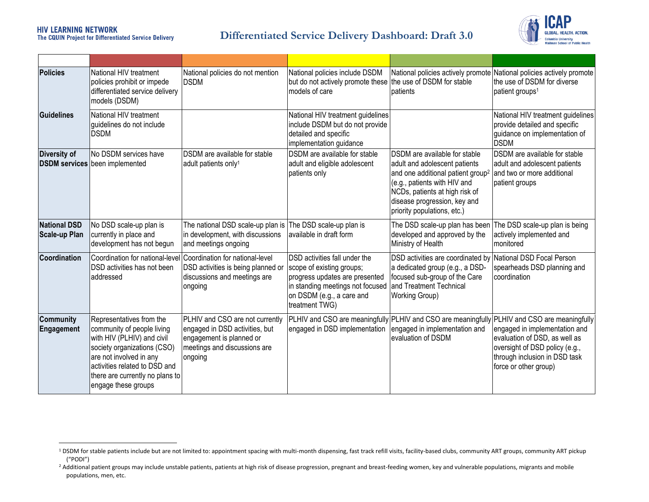#### **HIV LEARNING NETWORK** The CQUIN Project for Differentiated Service Delivery

l

#### **Differentiated Service Delivery Dashboard: Draft 3.0**



| <b>Policies</b>                             | National HIV treatment<br>policies prohibit or impede<br>differentiated service delivery<br>models (DSDM)                                                                                                                                 | National policies do not mention<br><b>DSDM</b>                                                                                          | National policies include DSDM<br>but do not actively promote these the use of DSDM for stable<br>Imodels of care                                                               | patients                                                                                                                                                                                                                                         | National policies actively promote National policies actively promote<br>the use of DSDM for diverse<br>patient groups <sup>1</sup>                                                                                                                        |
|---------------------------------------------|-------------------------------------------------------------------------------------------------------------------------------------------------------------------------------------------------------------------------------------------|------------------------------------------------------------------------------------------------------------------------------------------|---------------------------------------------------------------------------------------------------------------------------------------------------------------------------------|--------------------------------------------------------------------------------------------------------------------------------------------------------------------------------------------------------------------------------------------------|------------------------------------------------------------------------------------------------------------------------------------------------------------------------------------------------------------------------------------------------------------|
| <b>Guidelines</b>                           | National HIV treatment<br>guidelines do not include<br><b>DSDM</b>                                                                                                                                                                        |                                                                                                                                          | National HIV treatment guidelines<br>include DSDM but do not provide<br>detailed and specific<br>implementation guidance                                                        |                                                                                                                                                                                                                                                  | National HIV treatment guidelines<br>provide detailed and specific<br>guidance on implementation of<br><b>DSDM</b>                                                                                                                                         |
| <b>Diversity of</b>                         | No DSDM services have<br><b>DSDM services</b> been implemented                                                                                                                                                                            | DSDM are available for stable<br>adult patients only <sup>1</sup>                                                                        | DSDM are available for stable<br>adult and eligible adolescent<br>patients only                                                                                                 | DSDM are available for stable<br>adult and adolescent patients<br>and one additional patient group <sup>2</sup><br>(e.g., patients with HIV and<br>NCDs, patients at high risk of<br>disease progression, key and<br>priority populations, etc.) | DSDM are available for stable<br>adult and adolescent patients<br>and two or more additional<br>patient groups                                                                                                                                             |
| <b>National DSD</b><br><b>Scale-up Plan</b> | No DSD scale-up plan is<br>currently in place and<br>development has not begun                                                                                                                                                            | The national DSD scale-up plan is The DSD scale-up plan is<br>in development, with discussions<br>and meetings ongoing                   | lavailable in draft form                                                                                                                                                        | The DSD scale-up plan has been<br>developed and approved by the<br>Ministry of Health                                                                                                                                                            | The DSD scale-up plan is being<br>actively implemented and<br>monitored                                                                                                                                                                                    |
| Coordination                                | Coordination for national-level<br>DSD activities has not been<br>addressed                                                                                                                                                               | Coordination for national-level<br>DSD activities is being planned or<br>discussions and meetings are<br>ongoing                         | DSD activities fall under the<br>scope of existing groups;<br>progress updates are presented<br>in standing meetings not focused<br>on DSDM (e.g., a care and<br>treatment TWG) | DSD activities are coordinated by National DSD Focal Person<br>a dedicated group (e.g., a DSD-<br>focused sub-group of the Care<br>and Treatment Technical<br>Working Group)                                                                     | spearheads DSD planning and<br>coordination                                                                                                                                                                                                                |
| <b>Community</b><br>Engagement              | Representatives from the<br>community of people living<br>with HIV (PLHIV) and civil<br>society organizations (CSO)<br>are not involved in any<br>activities related to DSD and<br>there are currently no plans to<br>engage these groups | PLHIV and CSO are not currently<br>engaged in DSD activities, but<br>engagement is planned or<br>meetings and discussions are<br>ongoing | engaged in DSD implementation                                                                                                                                                   | engaged in implementation and<br>evaluation of DSDM                                                                                                                                                                                              | PLHIV and CSO are meaningfully PLHIV and CSO are meaningfully PLHIV and CSO are meaningfully<br>engaged in implementation and<br>evaluation of DSD, as well as<br>oversight of DSD policy (e.g.,<br>through inclusion in DSD task<br>force or other group) |

<sup>&</sup>lt;sup>1</sup> DSDM for stable patients include but are not limited to: appointment spacing with multi-month dispensing, fast track refill visits, facility-based clubs, community ART groups, community ART pickup ("PODI")

<sup>&</sup>lt;sup>2</sup> Additional patient groups may include unstable patients, patients at high risk of disease progression, pregnant and breast-feeding women, key and vulnerable populations, migrants and mobile populations, men, etc.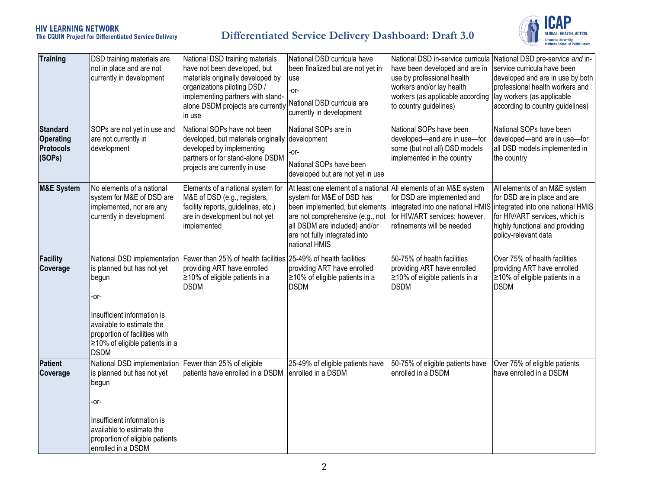# **HIV LEARNING NETWORK**<br>The CQUIN Project for Differentiated Service Delivery

## **Differentiated Service Delivery Dashboard: Draft 3.0**



| <b>Training</b>                                                   | DSD training materials are<br>not in place and are not<br>currently in development                                                                                                                                       | National DSD training materials<br>have not been developed, but<br>materials originally developed by<br>organizations piloting DSD /<br>implementing partners with stand-<br>alone DSDM projects are currently<br>in use | National DSD curricula have<br>been finalized but are not yet in<br>use<br>-or-<br>National DSD curricula are<br>currently in development                                                                                                              | National DSD in-service curricula National DSD pre-service and in-<br>have been developed and are in<br>use by professional health<br>workers and/or lay health<br>workers (as applicable according<br>to country guidelines) | service curricula have been<br>developed and are in use by both<br>professional health workers and<br>lay workers (as applicable<br>according to country guidelines)                                                              |
|-------------------------------------------------------------------|--------------------------------------------------------------------------------------------------------------------------------------------------------------------------------------------------------------------------|--------------------------------------------------------------------------------------------------------------------------------------------------------------------------------------------------------------------------|--------------------------------------------------------------------------------------------------------------------------------------------------------------------------------------------------------------------------------------------------------|-------------------------------------------------------------------------------------------------------------------------------------------------------------------------------------------------------------------------------|-----------------------------------------------------------------------------------------------------------------------------------------------------------------------------------------------------------------------------------|
| <b>Standard</b><br><b>Operating</b><br><b>Protocols</b><br>(SOPs) | SOPs are not yet in use and<br>are not currently in<br>development                                                                                                                                                       | National SOPs have not been<br>developed, but materials originally<br>developed by implementing<br>partners or for stand-alone DSDM<br>projects are currently in use                                                     | National SOPs are in<br>development<br>-or-<br>National SOPs have been<br>developed but are not yet in use                                                                                                                                             | National SOPs have been<br>developed-and are in use-for<br>some (but not all) DSD models<br>implemented in the country                                                                                                        | National SOPs have been<br>developed-and are in use-for<br>all DSD models implemented in<br>the country                                                                                                                           |
| <b>M&amp;E System</b>                                             | No elements of a national<br>system for M&E of DSD are<br>implemented, nor are any<br>currently in development                                                                                                           | Elements of a national system for<br>M&E of DSD (e.g., registers,<br>facility reports, guidelines, etc.)<br>are in development but not yet<br>implemented                                                                | At least one element of a national All elements of an M&E system<br>system for M&E of DSD has<br>been implemented, but elements<br>are not comprehensive (e.g., not<br>all DSDM are included) and/or<br>are not fully integrated into<br>national HMIS | for DSD are implemented and<br>for HIV/ART services; however,<br>refinements will be needed                                                                                                                                   | All elements of an M&E system<br>for DSD are in place and are<br>integrated into one national HMIS integrated into one national HMIS<br>for HIV/ART services, which is<br>highly functional and providing<br>policy-relevant data |
| <b>Facility</b><br>Coverage                                       | National DSD implementation<br>is planned but has not yet<br>begun<br>-or-<br>Insufficient information is<br>available to estimate the<br>proportion of facilities with<br>≥10% of eligible patients in a<br><b>DSDM</b> | Fewer than 25% of health facilities<br>providing ART have enrolled<br>≥10% of eligible patients in a<br><b>DSDM</b>                                                                                                      | 25-49% of health facilities<br>providing ART have enrolled<br>≥10% of eligible patients in a<br><b>DSDM</b>                                                                                                                                            | 50-75% of health facilities<br>providing ART have enrolled<br>≥10% of eligible patients in a<br><b>DSDM</b>                                                                                                                   | Over 75% of health facilities<br>providing ART have enrolled<br>≥10% of eligible patients in a<br><b>DSDM</b>                                                                                                                     |
| <b>Patient</b><br>Coverage                                        | National DSD implementation<br>is planned but has not yet<br>begun<br>-or-<br>Insufficient information is<br>available to estimate the<br>proportion of eligible patients<br>enrolled in a DSDM                          | Fewer than 25% of eligible<br>patients have enrolled in a DSDM                                                                                                                                                           | 25-49% of eligible patients have<br>enrolled in a DSDM                                                                                                                                                                                                 | 50-75% of eligible patients have<br>enrolled in a DSDM                                                                                                                                                                        | Over 75% of eligible patients<br>have enrolled in a DSDM                                                                                                                                                                          |